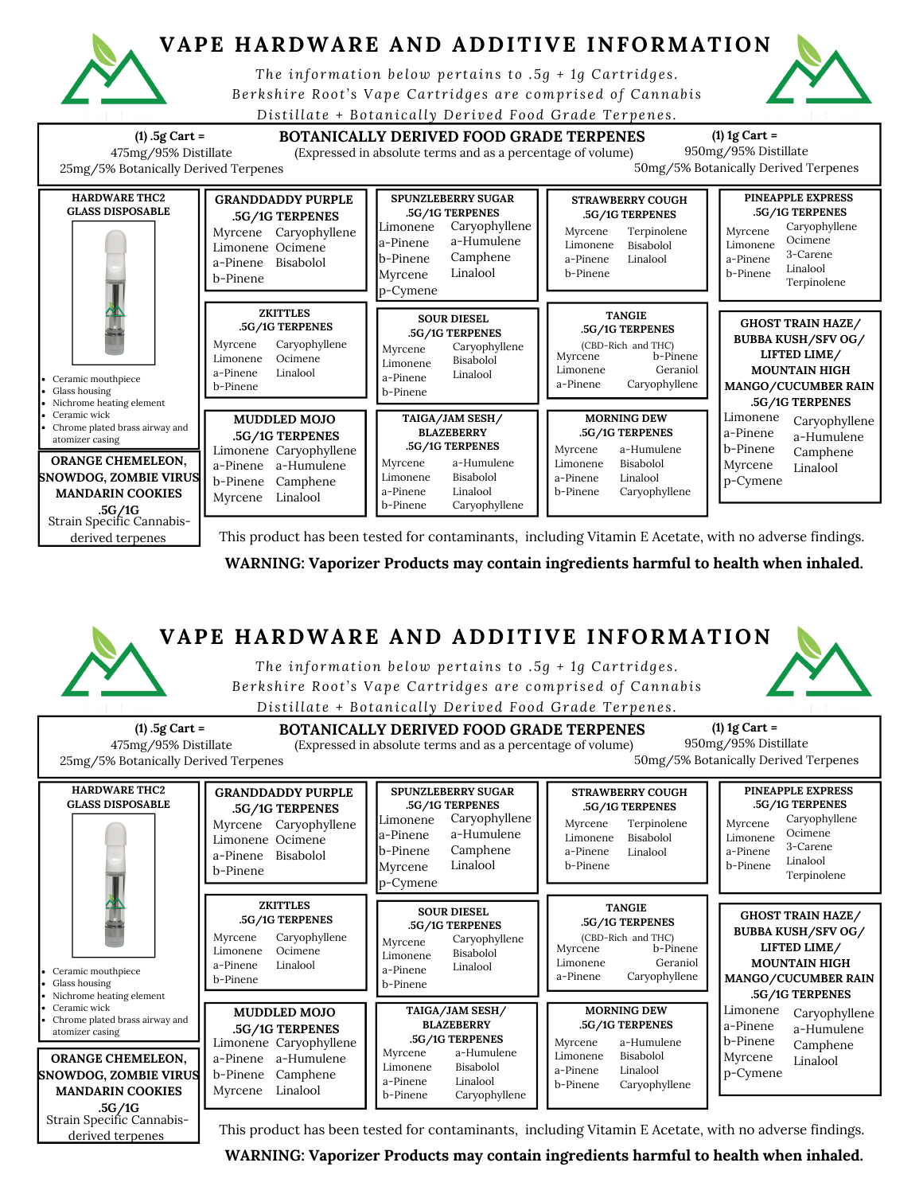

derived terpenes

## **VAPE HARDWARE AND ADDITIVE INFORMATION**

*The information b e low pe r tains to .5g + 1 g Car t r idg e s .* Berkshire Root's Vape Cartridges are comprised of Cannabis

*Di s tillat e + Botani call y De r ived Food Grade Te rpene s .*



This product has been tested for contaminants, including Vitamin E Acetate, with no adverse findings.

**WARNING: Vaporizer Products may contain ingredients harmful to health when inhaled.**

## **VAPE HARDWARE AND ADDITIVE INFORMATION (1) .5g Cart = BOTANICALLY DERIVED FOOD GRADE TERPENES** 475mg/95% Distillate 25mg/5% Botanically Derived Terpenes **(1) 1g Cart =** 950mg/95% Distillate 50mg/5% Botanically Derived Terpenes (Expressed in absolute terms and as a percentage of volume) **TANGIE .5G/1G TERPENES** Myrcene Limonene a-Pinene (CBD-Rich and THC) b-Pinene Geraniol Caryophyllene Caryophyllene a-Humulene Camphene Linalool **SPUNZLEBERRY SUGAR .5G/1G TERPENES PINEAPPLE EXPRESS .5G/1G TERPENES** Myrcene Limonene a-Pinene b-Pinene Caryophyllene Ocimene 3-Carene Linalool Terpinolene **GRANDDADDY PURPLE .5G/1G TERPENES** Myrcene Caryophyllene Limonene Ocimene a-Pinene Bisabolol b-Pinene **SOUR DIESEL .5G/1G TERPENES** Myrcene Limonene a-Pinene b-Pinene Caryophyllene Bisabolol Linalool **ZKITTLES .5G/1G TERPENES** Myrcene Limonene a-Pinene b-Pinene Caryophyllene Ocimene Linalool *The information b e low pe r tains to .5g + 1 g Car t r idg e s .* Berkshire Root's Vape Cartridges are comprised of Cannabis *Di s tillat e + Botani call y De r ived Food Grade Te rpene s .* **HARDWARE THC2 GLASS DISPOSABLE** Ceramic mouthpiece Glass housing Nichrome heating element Ceramic wick Chrome plated brass airway and atomizer casing **STRAWBERRY COUGH .5G/1G TERPENES** Myrcene Limonene a-Pinene b-Pinene Terpinolene Bisabolol Linalool **MUDDLED MOJO .5G/1G TERPENES** Limonene Caryophyllene a-Pinene a-Humulene b-Pinene Camphene Myrcene Linalool **MORNING DEW .5G/1G TERPENES** Myrcene Limonene a-Pinene b-Pinene a-Humulene Bisabolol Linalool Caryophyllene **GHOST TRAIN HAZE/ BUBBA KUSH/SFV OG/ LIFTED LIME/ MOUNTAIN HIGH MANGO/CUCUMBER RAIN .5G/1G TERPENES** Limonene a-Pinene b-Pinene Myrcene p-Cymene Caryophyllene a-Humulene Camphene Linalool Limonene a-Pinene b-Pinene Myrcene p-Cymene Myrcene Limonene a-Pinene b-Pinene a-Humulene Bisabolol Linalool Caryophyllene **TAIGA/JAM SESH/ BLAZEBERRY .5G/1G TERPENES** Strain Specific Cannabis-**.5G/1GORANGE CHEMELEON, SNOWDOG, ZOMBIE VIRUS MANDARIN COOKIES**

This product has been tested for contaminants, including Vitamin E Acetate, with no adverse findings.

**WARNING: Vaporizer Products may contain ingredients harmful to health when inhaled.**